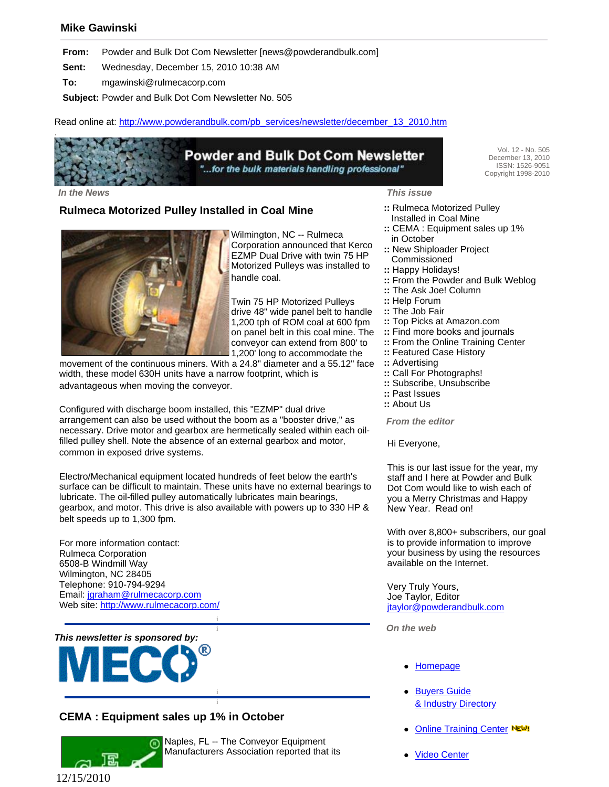### **Mike Gawinski**

**From:** Powder and Bulk Dot Com Newsletter [news@powderandbulk.com]

**Sent:** Wednesday, December 15, 2010 10:38 AM

**To:** mgawinski@rulmecacorp.com

**Subject:** Powder and Bulk Dot Com Newsletter No. 505

Read online at: http://www.powderandbulk.com/pb\_services/newsletter/december\_13\_2010.htm

# **Powder and Bulk Dot Com Newsletter** "...for the bulk materials handling professional"

Vol. 12 - No. 505 December 13, 2010 ISSN: 1526-9051 Copyright 1998-2010

 *In the News This issue*

.

#### **Rulmeca Motorized Pulley Installed in Coal Mine**



Wilmington, NC -- Rulmeca Corporation announced that Kerco EZMP Dual Drive with twin 75 HP Motorized Pulleys was installed to handle coal.

Twin 75 HP Motorized Pulleys drive 48" wide panel belt to handle 1,200 tph of ROM coal at 600 fpm on panel belt in this coal mine. The conveyor can extend from 800' to 1,200' long to accommodate the

movement of the continuous miners. With a 24.8" diameter and a 55.12" face width, these model 630H units have a narrow footprint, which is advantageous when moving the conveyor.

Configured with discharge boom installed, this "EZMP" dual drive arrangement can also be used without the boom as a "booster drive," as necessary. Drive motor and gearbox are hermetically sealed within each oilfilled pulley shell. Note the absence of an external gearbox and motor, common in exposed drive systems.

Electro/Mechanical equipment located hundreds of feet below the earth's surface can be difficult to maintain. These units have no external bearings to lubricate. The oil-filled pulley automatically lubricates main bearings, gearbox, and motor. This drive is also available with powers up to 330 HP & belt speeds up to 1,300 fpm.

> i i

> i i

For more information contact: Rulmeca Corporation 6508-B Windmill Way Wilmington, NC 28405 Telephone: 910-794-9294 Email: jgraham@rulmecacorp.com Web site: http://www.rulmecacorp.com/



# **CEMA : Equipment sales up 1% in October**



Naples, FL -- The Conveyor Equipment Manufacturers Association reported that its

- **::** Rulmeca Motorized Pulley Installed in Coal Mine
- **::** CEMA : Equipment sales up 1% in October
- **::** New Shiploader Project Commissioned
- **::** Happy Holidays!
- **::** From the Powder and Bulk Weblog
- **::** The Ask Joe! Column
- **::** Help Forum
- **::** The Job Fair
- **::** Top Picks at Amazon.com
- **::** Find more books and journals
- **::** From the Online Training Center
- **::** Featured Case History
- **::** Advertising
- **::** Call For Photographs!
- **::** Subscribe, Unsubscribe
- **::** Past Issues
- **::** About Us

 *From the editor*

Hi Everyone,

This is our last issue for the year, my staff and I here at Powder and Bulk Dot Com would like to wish each of you a Merry Christmas and Happy New Year. Read on!

With over 8,800+ subscribers, our goal is to provide information to improve your business by using the resources available on the Internet.

Very Truly Yours, Joe Taylor, Editor jtaylor@powderandbulk.com

 *On the web*

- **Homepage**
- Buyers Guide & Industry Directory
- **Online Training Center NEW!**
- **Video Center**